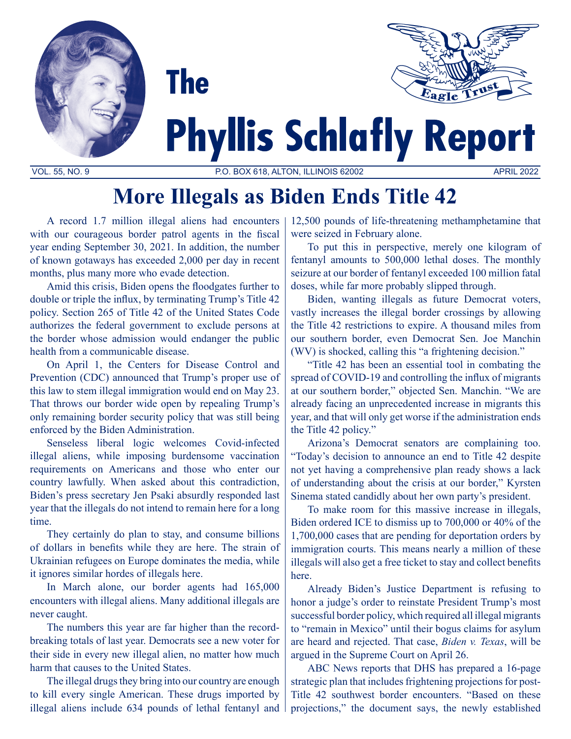



# **Phyllis Schlafly Report**

VOL. 55, NO. 9 P.O. BOX 618, ALTON, ILLINOIS 62002 APRIL 2022

## **More Illegals as Biden Ends Title 42**

A record 1.7 million illegal aliens had encounters with our courageous border patrol agents in the fiscal year ending September 30, 2021. In addition, the number of known gotaways has exceeded 2,000 per day in recent months, plus many more who evade detection.

**The** 

Amid this crisis, Biden opens the floodgates further to double or triple the influx, by terminating Trump's Title 42 policy. Section 265 of Title 42 of the United States Code authorizes the federal government to exclude persons at the border whose admission would endanger the public health from a communicable disease.

On April 1, the Centers for Disease Control and Prevention (CDC) announced that Trump's proper use of this law to stem illegal immigration would end on May 23. That throws our border wide open by repealing Trump's only remaining border security policy that was still being enforced by the Biden Administration.

Senseless liberal logic welcomes Covid-infected illegal aliens, while imposing burdensome vaccination requirements on Americans and those who enter our country lawfully. When asked about this contradiction, Biden's press secretary Jen Psaki absurdly responded last year that the illegals do not intend to remain here for a long time.

They certainly do plan to stay, and consume billions of dollars in benefits while they are here. The strain of Ukrainian refugees on Europe dominates the media, while it ignores similar hordes of illegals here.

In March alone, our border agents had 165,000 encounters with illegal aliens. Many additional illegals are never caught.

The numbers this year are far higher than the recordbreaking totals of last year. Democrats see a new voter for their side in every new illegal alien, no matter how much harm that causes to the United States.

The illegal drugs they bring into our country are enough to kill every single American. These drugs imported by illegal aliens include 634 pounds of lethal fentanyl and 12,500 pounds of life-threatening methamphetamine that were seized in February alone.

To put this in perspective, merely one kilogram of fentanyl amounts to 500,000 lethal doses. The monthly seizure at our border of fentanyl exceeded 100 million fatal doses, while far more probably slipped through.

Biden, wanting illegals as future Democrat voters, vastly increases the illegal border crossings by allowing the Title 42 restrictions to expire. A thousand miles from our southern border, even Democrat Sen. Joe Manchin (WV) is shocked, calling this "a frightening decision."

"Title 42 has been an essential tool in combating the spread of COVID-19 and controlling the influx of migrants at our southern border," objected Sen. Manchin. "We are already facing an unprecedented increase in migrants this year, and that will only get worse if the administration ends the Title 42 policy."

Arizona's Democrat senators are complaining too. "Today's decision to announce an end to Title 42 despite not yet having a comprehensive plan ready shows a lack of understanding about the crisis at our border," Kyrsten Sinema stated candidly about her own party's president.

To make room for this massive increase in illegals, Biden ordered ICE to dismiss up to 700,000 or 40% of the 1,700,000 cases that are pending for deportation orders by immigration courts. This means nearly a million of these illegals will also get a free ticket to stay and collect benefits here.

Already Biden's Justice Department is refusing to honor a judge's order to reinstate President Trump's most successful border policy, which required all illegal migrants to "remain in Mexico" until their bogus claims for asylum are heard and rejected. That case, *Biden v. Texas*, will be argued in the Supreme Court on April 26.

ABC News reports that DHS has prepared a 16-page strategic plan that includes frightening projections for post-Title 42 southwest border encounters. "Based on these projections," the document says, the newly established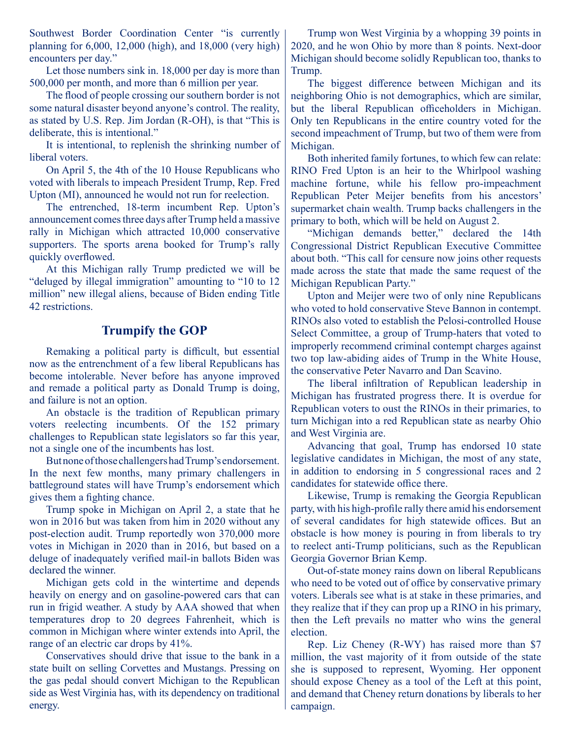Southwest Border Coordination Center "is currently planning for 6,000, 12,000 (high), and 18,000 (very high) encounters per day."

Let those numbers sink in. 18,000 per day is more than 500,000 per month, and more than 6 million per year.

The flood of people crossing our southern border is not some natural disaster beyond anyone's control. The reality, as stated by U.S. Rep. Jim Jordan (R-OH), is that "This is deliberate, this is intentional."

It is intentional, to replenish the shrinking number of liberal voters.

On April 5, the 4th of the 10 House Republicans who voted with liberals to impeach President Trump, Rep. Fred Upton (MI), announced he would not run for reelection.

The entrenched, 18-term incumbent Rep. Upton's announcement comes three days after Trump held a massive rally in Michigan which attracted 10,000 conservative supporters. The sports arena booked for Trump's rally quickly overflowed.

At this Michigan rally Trump predicted we will be "deluged by illegal immigration" amounting to "10 to 12 million" new illegal aliens, because of Biden ending Title 42 restrictions.

#### **Trumpify the GOP**

Remaking a political party is difficult, but essential now as the entrenchment of a few liberal Republicans has become intolerable. Never before has anyone improved and remade a political party as Donald Trump is doing, and failure is not an option.

An obstacle is the tradition of Republican primary voters reelecting incumbents. Of the 152 primary challenges to Republican state legislators so far this year, not a single one of the incumbents has lost.

But none of those challengers had Trump's endorsement. In the next few months, many primary challengers in battleground states will have Trump's endorsement which gives them a fighting chance.

Trump spoke in Michigan on April 2, a state that he won in 2016 but was taken from him in 2020 without any post-election audit. Trump reportedly won 370,000 more votes in Michigan in 2020 than in 2016, but based on a deluge of inadequately verified mail-in ballots Biden was declared the winner.

Michigan gets cold in the wintertime and depends heavily on energy and on gasoline-powered cars that can run in frigid weather. A study by AAA showed that when temperatures drop to 20 degrees Fahrenheit, which is common in Michigan where winter extends into April, the range of an electric car drops by 41%.

Conservatives should drive that issue to the bank in a state built on selling Corvettes and Mustangs. Pressing on the gas pedal should convert Michigan to the Republican side as West Virginia has, with its dependency on traditional energy.

Trump won West Virginia by a whopping 39 points in 2020, and he won Ohio by more than 8 points. Next-door Michigan should become solidly Republican too, thanks to Trump.

The biggest difference between Michigan and its neighboring Ohio is not demographics, which are similar, but the liberal Republican officeholders in Michigan. Only ten Republicans in the entire country voted for the second impeachment of Trump, but two of them were from Michigan.

Both inherited family fortunes, to which few can relate: RINO Fred Upton is an heir to the Whirlpool washing machine fortune, while his fellow pro-impeachment Republican Peter Meijer benefits from his ancestors' supermarket chain wealth. Trump backs challengers in the primary to both, which will be held on August 2.

"Michigan demands better," declared the 14th Congressional District Republican Executive Committee about both. "This call for censure now joins other requests made across the state that made the same request of the Michigan Republican Party."

Upton and Meijer were two of only nine Republicans who voted to hold conservative Steve Bannon in contempt. RINOs also voted to establish the Pelosi-controlled House Select Committee, a group of Trump-haters that voted to improperly recommend criminal contempt charges against two top law-abiding aides of Trump in the White House, the conservative Peter Navarro and Dan Scavino.

The liberal infiltration of Republican leadership in Michigan has frustrated progress there. It is overdue for Republican voters to oust the RINOs in their primaries, to turn Michigan into a red Republican state as nearby Ohio and West Virginia are.

Advancing that goal, Trump has endorsed 10 state legislative candidates in Michigan, the most of any state, in addition to endorsing in 5 congressional races and 2 candidates for statewide office there.

Likewise, Trump is remaking the Georgia Republican party, with his high-profile rally there amid his endorsement of several candidates for high statewide offices. But an obstacle is how money is pouring in from liberals to try to reelect anti-Trump politicians, such as the Republican Georgia Governor Brian Kemp.

Out-of-state money rains down on liberal Republicans who need to be voted out of office by conservative primary voters. Liberals see what is at stake in these primaries, and they realize that if they can prop up a RINO in his primary, then the Left prevails no matter who wins the general election.

Rep. Liz Cheney (R-WY) has raised more than \$7 million, the vast majority of it from outside of the state she is supposed to represent, Wyoming. Her opponent should expose Cheney as a tool of the Left at this point, and demand that Cheney return donations by liberals to her campaign.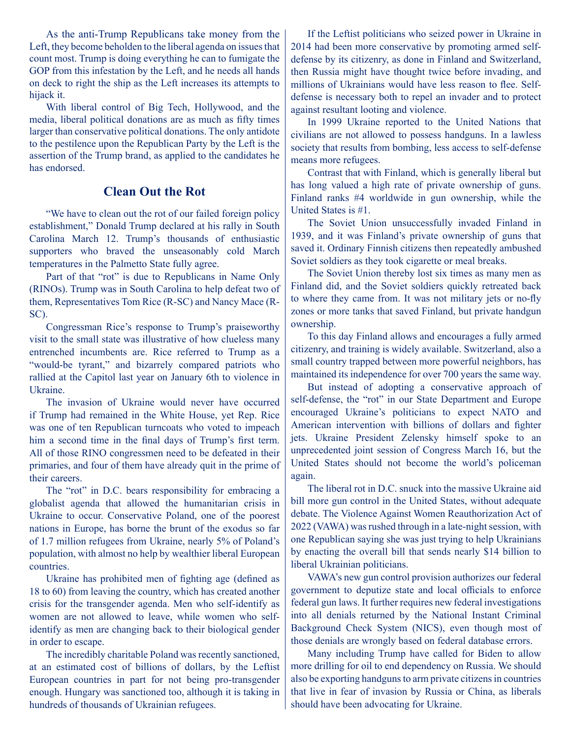As the anti-Trump Republicans take money from the Left, they become beholden to the liberal agenda on issues that count most. Trump is doing everything he can to fumigate the GOP from this infestation by the Left, and he needs all hands on deck to right the ship as the Left increases its attempts to hijack it.

With liberal control of Big Tech, Hollywood, and the media, liberal political donations are as much as fifty times larger than conservative political donations. The only antidote to the pestilence upon the Republican Party by the Left is the assertion of the Trump brand, as applied to the candidates he has endorsed.

### **Clean Out the Rot**

"We have to clean out the rot of our failed foreign policy establishment," Donald Trump declared at his rally in South Carolina March 12. Trump's thousands of enthusiastic supporters who braved the unseasonably cold March temperatures in the Palmetto State fully agree.

Part of that "rot" is due to Republicans in Name Only (RINOs). Trump was in South Carolina to help defeat two of them, Representatives Tom Rice (R-SC) and Nancy Mace (R-SC).

Congressman Rice's response to Trump's praiseworthy visit to the small state was illustrative of how clueless many entrenched incumbents are. Rice referred to Trump as a "would-be tyrant," and bizarrely compared patriots who rallied at the Capitol last year on January 6th to violence in Ukraine.

The invasion of Ukraine would never have occurred if Trump had remained in the White House, yet Rep. Rice was one of ten Republican turncoats who voted to impeach him a second time in the final days of Trump's first term. All of those RINO congressmen need to be defeated in their primaries, and four of them have already quit in the prime of their careers.

The "rot" in D.C. bears responsibility for embracing a globalist agenda that allowed the humanitarian crisis in Ukraine to occur. Conservative Poland, one of the poorest nations in Europe, has borne the brunt of the exodus so far of 1.7 million refugees from Ukraine, nearly 5% of Poland's population, with almost no help by wealthier liberal European countries.

Ukraine has prohibited men of fighting age (defined as 18 to 60) from leaving the country, which has created another crisis for the transgender agenda. Men who self-identify as women are not allowed to leave, while women who selfidentify as men are changing back to their biological gender in order to escape.

The incredibly charitable Poland was recently sanctioned, at an estimated cost of billions of dollars, by the Leftist European countries in part for not being pro-transgender enough. Hungary was sanctioned too, although it is taking in hundreds of thousands of Ukrainian refugees.

If the Leftist politicians who seized power in Ukraine in 2014 had been more conservative by promoting armed selfdefense by its citizenry, as done in Finland and Switzerland, then Russia might have thought twice before invading, and millions of Ukrainians would have less reason to flee. Selfdefense is necessary both to repel an invader and to protect against resultant looting and violence.

In 1999 Ukraine reported to the United Nations that civilians are not allowed to possess handguns. In a lawless society that results from bombing, less access to self-defense means more refugees.

Contrast that with Finland, which is generally liberal but has long valued a high rate of private ownership of guns. Finland ranks #4 worldwide in gun ownership, while the United States is #1.

The Soviet Union unsuccessfully invaded Finland in 1939, and it was Finland's private ownership of guns that saved it. Ordinary Finnish citizens then repeatedly ambushed Soviet soldiers as they took cigarette or meal breaks.

The Soviet Union thereby lost six times as many men as Finland did, and the Soviet soldiers quickly retreated back to where they came from. It was not military jets or no-fly zones or more tanks that saved Finland, but private handgun ownership.

To this day Finland allows and encourages a fully armed citizenry, and training is widely available. Switzerland, also a small country trapped between more powerful neighbors, has maintained its independence for over 700 years the same way.

But instead of adopting a conservative approach of self-defense, the "rot" in our State Department and Europe encouraged Ukraine's politicians to expect NATO and American intervention with billions of dollars and fighter jets. Ukraine President Zelensky himself spoke to an unprecedented joint session of Congress March 16, but the United States should not become the world's policeman again.

The liberal rot in D.C. snuck into the massive Ukraine aid bill more gun control in the United States, without adequate debate. The Violence Against Women Reauthorization Act of 2022 (VAWA) was rushed through in a late-night session, with one Republican saying she was just trying to help Ukrainians by enacting the overall bill that sends nearly \$14 billion to liberal Ukrainian politicians.

VAWA's new gun control provision authorizes our federal government to deputize state and local officials to enforce federal gun laws. It further requires new federal investigations into all denials returned by the National Instant Criminal Background Check System (NICS), even though most of those denials are wrongly based on federal database errors.

Many including Trump have called for Biden to allow more drilling for oil to end dependency on Russia. We should also be exporting handguns to arm private citizens in countries that live in fear of invasion by Russia or China, as liberals should have been advocating for Ukraine.